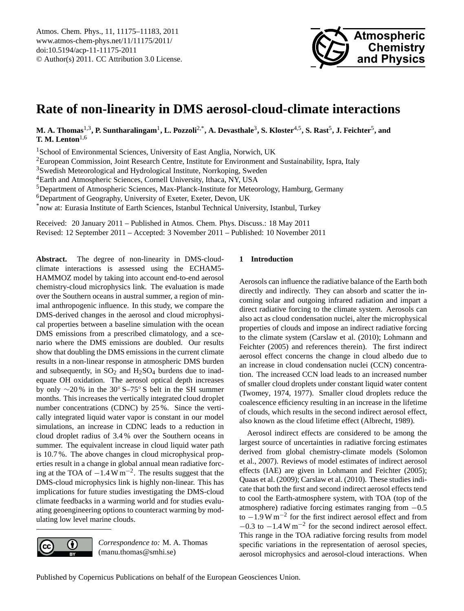

# <span id="page-0-0"></span>**Rate of non-linearity in DMS aerosol-cloud-climate interactions**

**M. A. Thomas**1,3**, P. Suntharalingam**<sup>1</sup> **, L. Pozzoli**2,\***, A. Devasthale**<sup>3</sup> **, S. Kloster**4,5**, S. Rast**<sup>5</sup> **, J. Feichter**<sup>5</sup> **, and T. M. Lenton**1,6

<sup>1</sup>School of Environmental Sciences, University of East Anglia, Norwich, UK

<sup>2</sup>European Commission, Joint Research Centre, Institute for Environment and Sustainability, Ispra, Italy

<sup>3</sup>Swedish Meteorological and Hydrological Institute, Norrkoping, Sweden

<sup>4</sup>Earth and Atmospheric Sciences, Cornell University, Ithaca, NY, USA

<sup>5</sup>Department of Atmospheric Sciences, Max-Planck-Institute for Meteorology, Hamburg, Germany

<sup>6</sup>Department of Geography, University of Exeter, Exeter, Devon, UK

\*now at: Eurasia Institute of Earth Sciences, Istanbul Technical University, Istanbul, Turkey

Received: 20 January 2011 – Published in Atmos. Chem. Phys. Discuss.: 18 May 2011 Revised: 12 September 2011 – Accepted: 3 November 2011 – Published: 10 November 2011

**Abstract.** The degree of non-linearity in DMS-cloudclimate interactions is assessed using the ECHAM5- HAMMOZ model by taking into account end-to-end aerosol chemistry-cloud microphysics link. The evaluation is made over the Southern oceans in austral summer, a region of minimal anthropogenic influence. In this study, we compare the DMS-derived changes in the aerosol and cloud microphysical properties between a baseline simulation with the ocean DMS emissions from a prescribed climatology, and a scenario where the DMS emissions are doubled. Our results show that doubling the DMS emissions in the current climate results in a non-linear response in atmospheric DMS burden and subsequently, in  $SO_2$  and  $H_2SO_4$  burdens due to inadequate OH oxidation. The aerosol optical depth increases by only ∼20 % in the 30◦ S–75◦ S belt in the SH summer months. This increases the vertically integrated cloud droplet number concentrations (CDNC) by 25 %. Since the vertically integrated liquid water vapor is constant in our model simulations, an increase in CDNC leads to a reduction in cloud droplet radius of 3.4 % over the Southern oceans in summer. The equivalent increase in cloud liquid water path is 10.7 %. The above changes in cloud microphysical properties result in a change in global annual mean radiative forcing at the TOA of  $-1.4 \,\mathrm{W\,m^{-2}}$ . The results suggest that the DMS-cloud microphysics link is highly non-linear. This has implications for future studies investigating the DMS-cloud climate feedbacks in a warming world and for studies evaluating geoengineering options to counteract warming by modulating low level marine clouds.

## *Correspondence to:* M. A. Thomas (manu.thomas@smhi.se)

 $\left( \cdot \right)$ 

## **1 Introduction**

Aerosols can influence the radiative balance of the Earth both directly and indirectly. They can absorb and scatter the incoming solar and outgoing infrared radiation and impart a direct radiative forcing to the climate system. Aerosols can also act as cloud condensation nuclei, alter the microphysical properties of clouds and impose an indirect radiative forcing to the climate system [\(Carslaw et al.](#page-6-0) [\(2010\)](#page-6-0); [Lohmann and](#page-7-0) [Feichter](#page-7-0) [\(2005\)](#page-7-0) and references therein). The first indirect aerosol effect concerns the change in cloud albedo due to an increase in cloud condensation nuclei (CCN) concentration. The increased CCN load leads to an increased number of smaller cloud droplets under constant liquid water content [\(Twomey,](#page-8-0) [1974,](#page-8-0) [1977\)](#page-8-1). Smaller cloud droplets reduce the coalescence efficiency resulting in an increase in the lifetime of clouds, which results in the second indirect aerosol effect, also known as the cloud lifetime effect [\(Albrecht,](#page-6-1) [1989\)](#page-6-1).

Aerosol indirect effects are considered to be among the largest source of uncertainties in radiative forcing estimates derived from global chemistry-climate models [\(Solomon](#page-7-1) [et al.,](#page-7-1) [2007\)](#page-7-1). Reviews of model estimates of indirect aerosol effects (IAE) are given in [Lohmann and Feichter](#page-7-0) [\(2005\)](#page-7-0); [Quaas et al.](#page-7-2) [\(2009\)](#page-7-2); [Carslaw et al.](#page-6-0) [\(2010\)](#page-6-0). These studies indicate that both the first and second indirect aerosol effects tend to cool the Earth-atmosphere system, with TOA (top of the atmosphere) radiative forcing estimates ranging from −0.5 to −1.9 W m−<sup>2</sup> for the first indirect aerosol effect and from  $-0.3$  to  $-1.4$  W m<sup>-2</sup> for the second indirect aerosol effect. This range in the TOA radiative forcing results from model specific variations in the representation of aerosol species, aerosol microphysics and aerosol-cloud interactions. When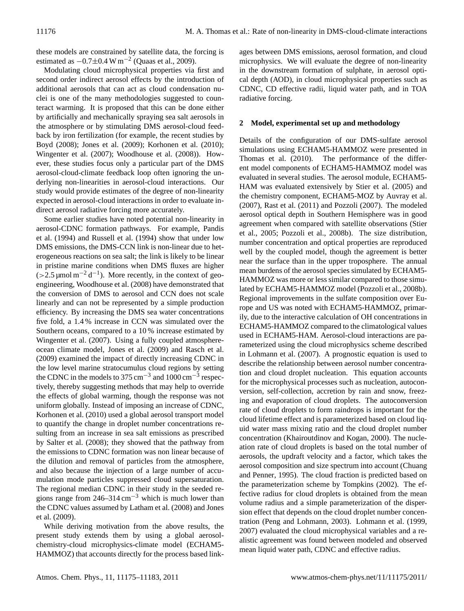these models are constrained by satellite data, the forcing is estimated as  $-0.7 \pm 0.4 \,\mathrm{W m^{-2}}$  [\(Quaas et al.,](#page-7-2) [2009\)](#page-7-2).

Modulating cloud microphysical properties via first and second order indirect aerosol effects by the introduction of additional aerosols that can act as cloud condensation nuclei is one of the many methodologies suggested to counteract warming. It is proposed that this can be done either by artificially and mechanically spraying sea salt aerosols in the atmosphere or by stimulating DMS aerosol-cloud feedback by iron fertilization (for example, the recent studies by [Boyd](#page-6-2) [\(2008\)](#page-6-2); [Jones et al.](#page-7-3) [\(2009\)](#page-7-3); [Korhonen et al.](#page-7-4) [\(2010\)](#page-7-4); [Wingenter et al.](#page-8-2) [\(2007\)](#page-8-2); [Woodhouse et al.](#page-8-3) [\(2008\)](#page-8-3)). However, these studies focus only a particular part of the DMS aerosol-cloud-climate feedback loop often ignoring the underlying non-linearities in aerosol-cloud interactions. Our study would provide estimates of the degree of non-linearity expected in aerosol-cloud interactions in order to evaluate indirect aerosol radiative forcing more accurately.

Some earlier studies have noted potential non-linearity in aerosol-CDNC formation pathways. For example, [Pandis](#page-7-5) [et al.](#page-7-5) [\(1994\)](#page-7-5) and [Russell et al.](#page-7-6) [\(1994\)](#page-7-6) show that under low DMS emissions, the DMS-CCN link is non-linear due to heterogeneous reactions on sea salt; the link is likely to be linear in pristine marine conditions when DMS fluxes are higher  $(>2.5 \,\mathrm{\mu mol\,m^{-2}\,d^{-1}})$ . More recently, in the context of geoengineering, [Woodhouse et al.](#page-8-3) [\(2008\)](#page-8-3) have demonstrated that the conversion of DMS to aerosol and CCN does not scale linearly and can not be represented by a simple production efficiency. By increasing the DMS sea water concentrations five fold, a 1.4 % increase in CCN was simulated over the Southern oceans, compared to a 10 % increase estimated by [Wingenter et al.](#page-8-2) [\(2007\)](#page-8-2). Using a fully coupled atmosphereocean climate model, [Jones et al.](#page-7-3) [\(2009\)](#page-7-3) and [Rasch et al.](#page-7-7) [\(2009\)](#page-7-7) examined the impact of directly increasing CDNC in the low level marine stratocumulus cloud regions by setting the CDNC in the models to 375 cm<sup>-3</sup> and 1000 cm<sup>-3</sup> respectively, thereby suggesting methods that may help to override the effects of global warming, though the response was not uniform globally. Instead of imposing an increase of CDNC, [Korhonen et al.](#page-7-4) [\(2010\)](#page-7-4) used a global aerosol transport model to quantify the change in droplet number concentrations resulting from an increase in sea salt emissions as prescribed by [Salter et al.](#page-7-8) [\(2008\)](#page-7-8); they showed that the pathway from the emissions to CDNC formation was non linear because of the dilution and removal of particles from the atmosphere, and also because the injection of a large number of accumulation mode particles suppressed cloud supersaturation. The regional median CDNC in their study in the seeded regions range from  $246-314 \text{ cm}^{-3}$  which is much lower than the CDNC values assumed by [Latham et al.](#page-7-9) [\(2008\)](#page-7-9) and [Jones](#page-7-3) [et al.](#page-7-3) [\(2009\)](#page-7-3).

While deriving motivation from the above results, the present study extends them by using a global aerosolchemistry-cloud microphysics-climate model (ECHAM5- HAMMOZ) that accounts directly for the process based linkages between DMS emissions, aerosol formation, and cloud microphysics. We will evaluate the degree of non-linearity in the downstream formation of sulphate, in aerosol optical depth (AOD), in cloud microphysical properties such as CDNC, CD effective radii, liquid water path, and in TOA radiative forcing.

## **2 Model, experimental set up and methodology**

Details of the configuration of our DMS-sulfate aerosol simulations using ECHAM5-HAMMOZ were presented in [Thomas et al.](#page-7-10) [\(2010\)](#page-7-10). The performance of the different model components of ECHAM5-HAMMOZ model was evaluated in several studies. The aerosol module, ECHAM5- HAM was evaluated extensively by [Stier et al.](#page-7-11) [\(2005\)](#page-7-11) and the chemistry component, ECHAM5-MOZ by [Auvray et al.](#page-6-3) [\(2007\)](#page-6-3), [Rast et al.](#page-7-12) [\(2011\)](#page-7-12) and [Pozzoli](#page-7-13) [\(2007\)](#page-7-13). The modeled aerosol optical depth in Southern Hemisphere was in good agreement when compared with satellite observations [\(Stier](#page-7-11) [et al.,](#page-7-11) [2005;](#page-7-11) [Pozzoli et al.,](#page-7-14) [2008b\)](#page-7-14). The size distribution, number concentration and optical properties are reproduced well by the coupled model, though the agreement is better near the surface than in the upper troposphere. The annual mean burdens of the aerosol species simulated by ECHAM5- HAMMOZ was more or less similar compared to those simulated by ECHAM5-HAMMOZ model [\(Pozzoli et al.,](#page-7-14) [2008b\)](#page-7-14). Regional improvements in the sulfate composition over Europe and US was noted with ECHAM5-HAMMOZ, primarily, due to the interactive calculation of OH concentrations in ECHAM5-HAMMOZ compared to the climatological values used in ECHAM5-HAM. Aerosol-cloud interactions are parameterized using the cloud microphysics scheme described in [Lohmann et al.](#page-7-15) [\(2007\)](#page-7-15). A prognostic equation is used to describe the relationship between aerosol number concentration and cloud droplet nucleation. This equation accounts for the microphysical processes such as nucleation, autoconversion, self-collection, accretion by rain and snow, freezing and evaporation of cloud droplets. The autoconversion rate of cloud droplets to form raindrops is important for the cloud lifetime effect and is parameterized based on cloud liquid water mass mixing ratio and the cloud droplet number concentration [\(Khairoutdinov and Kogan,](#page-7-16) [2000\)](#page-7-16). The nucleation rate of cloud droplets is based on the total number of aerosols, the updraft velocity and a factor, which takes the aerosol composition and size spectrum into account [\(Chuang](#page-6-4) [and Penner,](#page-6-4) [1995\)](#page-6-4). The cloud fraction is predicted based on the parameterization scheme by [Tompkins](#page-7-17) [\(2002\)](#page-7-17). The effective radius for cloud droplets is obtained from the mean volume radius and a simple parameterization of the dispersion effect that depends on the cloud droplet number concentration [\(Peng and Lohmann,](#page-7-18) [2003\)](#page-7-18). [Lohmann et al.](#page-7-19) [\(1999,](#page-7-19) [2007\)](#page-7-15) evaluated the cloud microphysical variables and a realistic agreement was found between modeled and observed mean liquid water path, CDNC and effective radius.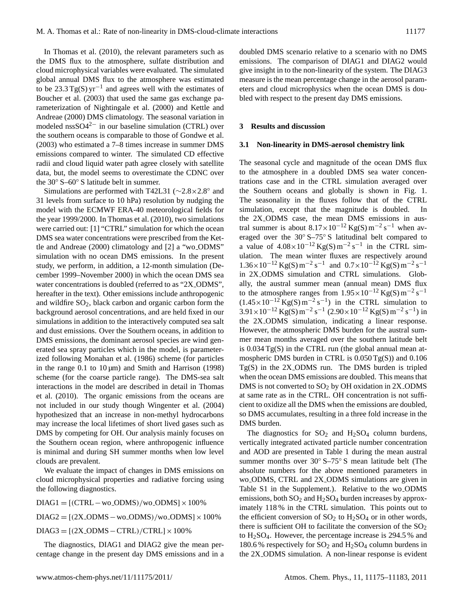In [Thomas et al.](#page-7-10) [\(2010\)](#page-7-10), the relevant parameters such as the DMS flux to the atmosphere, sulfate distribution and cloud microphysical variables were evaluated. The simulated global annual DMS flux to the atmosphere was estimated to be 23.3 Tg(S)  $yr^{-1}$  and agrees well with the estimates of [Boucher et al.](#page-6-5) [\(2003\)](#page-6-5) that used the same gas exchange parameterization of [Nightingale et al.](#page-7-20) [\(2000\)](#page-7-20) and [Kettle and](#page-7-21) [Andreae](#page-7-21) [\(2000\)](#page-7-21) DMS climatology. The seasonal variation in modeled nssSO42<sup>−</sup> in our baseline simulation (CTRL) over the southern oceans is comparable to those of [Gondwe et al.](#page-6-6) [\(2003\)](#page-6-6) who estimated a 7–8 times increase in summer DMS emissions compared to winter. The simulated CD effective radii and cloud liquid water path agree closely with satellite data, but, the model seems to overestimate the CDNC over the 30◦ S–60◦ S latitude belt in summer.

Simulations are performed with T42L31 (∼2.8×2.8◦ and 31 levels from surface to 10 hPa) resolution by nudging the model with the ECMWF ERA-40 meteorological fields for the year 1999/2000. In [Thomas et al.](#page-7-10) [\(2010\)](#page-7-10), two simulations were carried out: [1] "CTRL" simulation for which the ocean DMS sea water concentrations were prescribed from the [Ket](#page-7-21)[tle and Andreae](#page-7-21) [\(2000\)](#page-7-21) climatology and [2] a "wo ODMS" simulation with no ocean DMS emissions. In the present study, we perform, in addition, a 12-month simulation (December 1999–November 2000) in which the ocean DMS sea water concentrations is doubled (referred to as "2X\_ODMS", hereafter in the text). Other emissions include anthropogenic and wildfire  $SO_2$ , black carbon and organic carbon form the background aerosol concentrations, and are held fixed in our simulations in addition to the interactively computed sea salt and dust emissions. Over the Southern oceans, in addition to DMS emissions, the dominant aerosol species are wind generated sea spray particles which in the model, is parameterized following [Monahan et al.](#page-7-22) [\(1986\)](#page-7-22) scheme (for particles in the range  $0.1$  to  $10 \mu m$ ) and [Smith and Harrison](#page-7-23) [\(1998\)](#page-7-23) scheme (for the coarse particle range). The DMS-sea salt interactions in the model are described in detail in [Thomas](#page-7-10) [et al.](#page-7-10) [\(2010\)](#page-7-10). The organic emissions from the oceans are not included in our study though [Wingenter et al.](#page-8-4) [\(2004\)](#page-8-4) hypothesized that an increase in non-methyl hydrocarbons may increase the local lifetimes of short lived gases such as DMS by competing for OH. Our analysis mainly focuses on the Southern ocean region, where anthropogenic influence is minimal and during SH summer months when low level clouds are prevalent.

We evaluate the impact of changes in DMS emissions on cloud microphysical properties and radiative forcing using the following diagnostics.

 $DIAG1 = [(CTRL - wo\_ODMS)/wo\_ODMS] \times 100\%$ 

 $DIAG2 = [(2X_ODMS - wo_ODMS)/wo_ODMS] \times 100\%$ 

 $DIAG3 = [(2X_ODMS - CTRL)/CTRL] \times 100\%$ 

The diagnostics, DIAG1 and DIAG2 give the mean percentage change in the present day DMS emissions and in a doubled DMS scenario relative to a scenario with no DMS emissions. The comparison of DIAG1 and DIAG2 would give insight in to the non-linearity of the system. The DIAG3 measure is the mean percentage change in the aerosol parameters and cloud microphysics when the ocean DMS is doubled with respect to the present day DMS emissions.

#### **3 Results and discussion**

#### **3.1 Non-linearity in DMS-aerosol chemistry link**

The seasonal cycle and magnitude of the ocean DMS flux to the atmosphere in a doubled DMS sea water concentrations case and in the CTRL simulation averaged over the Southern oceans and globally is shown in Fig. [1.](#page-3-0) The seasonality in the fluxes follow that of the CTRL simulation, except that the magnitude is doubled. In the 2X ODMS case, the mean DMS emissions in austral summer is about  $8.17 \times 10^{-12}$  Kg(S) m<sup>-2</sup> s<sup>-1</sup> when averaged over the 30◦ S–75◦ S latitudinal belt compared to a value of  $4.08 \times 10^{-12}$  Kg(S) m<sup>-2</sup> s<sup>-1</sup> in the CTRL simulation. The mean winter fluxes are respectively around  $1.36 \times 10^{-12}$  Kg(S) m<sup>-2</sup> s<sup>-1</sup> and  $0.7 \times 10^{-12}$  Kg(S) m<sup>-2</sup> s<sup>-1</sup> in 2X ODMS simulation and CTRL simulations. Globally, the austral summer mean (annual mean) DMS flux to the atmosphere ranges from  $1.95 \times 10^{-12}$  Kg(S) m<sup>-2</sup> s<sup>-1</sup>  $(1.45 \times 10^{-12} \text{Kg(s)} \text{m}^{-2} \text{ s}^{-1})$  in the CTRL simulation to  $3.91 \times 10^{-12}$  Kg(S) m<sup>-2</sup> s<sup>-1</sup> (2.90×10<sup>-12</sup> Kg(S) m<sup>-2</sup> s<sup>-1</sup>) in the 2X ODMS simulation, indicating a linear response. However, the atmospheric DMS burden for the austral summer mean months averaged over the southern latitude belt is 0.034 Tg(S) in the CTRL run (the global annual mean atmospheric DMS burden in CTRL is  $0.050 \text{ Tg}(S)$  and  $0.106$ Tg(S) in the 2X ODMS run. The DMS burden is tripled when the ocean DMS emissions are doubled. This means that DMS is not converted to  $SO<sub>2</sub>$  by OH oxidation in 2X\_ODMS at same rate as in the CTRL. OH concentration is not sufficient to oxidize all the DMS when the emissions are doubled, so DMS accumulates, resulting in a three fold increase in the DMS burden.

The diagnostics for  $SO_2$  and  $H_2SO_4$  column burdens, vertically integrated activated particle number concentration and AOD are presented in Table [1](#page-3-1) during the mean austral summer months over 30° S–75° S mean latitude belt (The absolute numbers for the above mentioned parameters in wo ODMS, CTRL and 2X ODMS simulations are given in Table S1 in the Supplement.). Relative to the wo ODMS emissions, both  $SO_2$  and  $H_2SO_4$  burden increases by approximately 118 % in the CTRL simulation. This points out to the efficient conversion of  $SO_2$  to  $H_2SO_4$  or in other words, there is sufficient OH to facilitate the conversion of the  $SO<sub>2</sub>$ to  $H<sub>2</sub>SO<sub>4</sub>$ . However, the percentage increase is 294.5 % and 180.6 % respectively for  $SO_2$  and  $H_2SO_4$  column burdens in the 2X ODMS simulation. A non-linear response is evident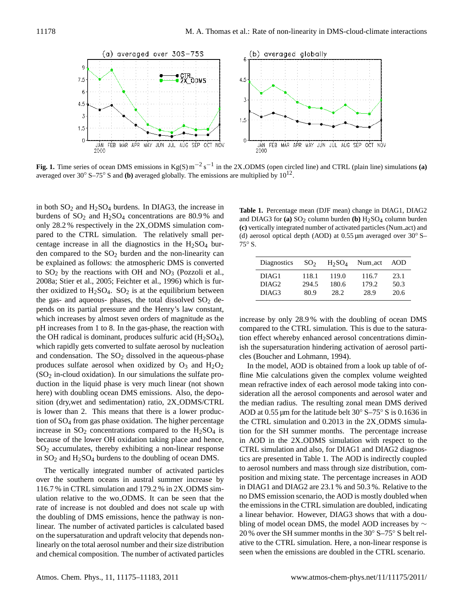

<span id="page-3-0"></span>**Fig. 1.** Time series of ocean DMS emissions in Kg(S) m<sup>-2</sup> s<sup>-1</sup> in the 2X\_ODMS (open circled line) and CTRL (plain line) simulations (a) averaged over 30 $\degree$  S–75 $\degree$  S and (b) averaged globally. The emissions are multiplied by 10<sup>12</sup>.

in both  $SO_2$  and  $H_2SO_4$  burdens. In DIAG3, the increase in **Table 1.** Percent burdens of  $SO_2$  and  $H_2SO_4$  concentrations are 80.9% and [2008a;](#page-7-24) [Stier et al.,](#page-7-11) [2005;](#page-7-11) [Feichter et al.,](#page-6-7) [1996\)](#page-6-7) which is furwhich increases by almost seven orders of magnitude as the increases which rapidly gets converted to sulfate aerosol by nucleation ish the  $\mathrm{SO}_2$  in-cloud oxidation). In our simulations the sulfate pro-<br>fline M sition (dry,wet and sedimentation) ratio, 2X<sub>-</sub>ODMS/CTRL the median rac is lower than 2. This means that there is a lower produc-  $AOD$  at  $0.55 \mu$ tion of  $SO_4$  from gas phase oxidation. The higher percentage  $\qquad$  the CTRL sim increase in  $SO_2$  concentrations compared to the  $H_2SO_4$  is tion for the S only 28.2 % respectively in the 2X ODMS simulation compared to the CTRL simulation. The relatively small percentage increase in all the diagnostics in the  $H<sub>2</sub>SO<sub>4</sub>$  burden compared to the  $SO_2$  burden and the non-linearity can be explained as follows: the atmospheric DMS is converted to  $SO_2$  by the reactions with OH and  $NO_3$  [\(Pozzoli et al.,](#page-7-24) ther oxidized to  $H_2SO_4$ .  $SO_2$  is at the equilibrium between the gas- and aqueous- phases, the total dissolved  $SO<sub>2</sub>$  depends on its partial pressure and the Henry's law constant, pH increases from 1 to 8. In the gas-phase, the reaction with the OH radical is dominant, produces sulfuric acid  $(H_2SO_4)$ , and condensation. The  $SO<sub>2</sub>$  dissolved in the aqueous-phase produces sulfate aerosol when oxidized by  $O_3$  and  $H_2O_2$ duction in the liquid phase is very much linear (not shown here) with doubling ocean DMS emissions. Also, the depobecause of the lower OH oxidation taking place and hence,  $SO<sub>2</sub>$  accumulates, thereby exhibiting a non-linear response in  $SO_2$  and  $H_2SO_4$  burdens to the doubling of ocean DMS.

The vertically integrated number of activated particles over the southern oceans in austral summer increase by 116.7 % in CTRL simulation and 179.2 % in 2X ODMS simulation relative to the wo ODMS. It can be seen that the rate of increase is not doubled and does not scale up with the doubling of DMS emissions, hence the pathway is nonlinear. The number of activated particles is calculated based on the supersaturation and updraft velocity that depends nonlinearly on the total aerosol number and their size distribution and chemical composition. The number of activated particles

<span id="page-3-1"></span>**Table 1.** Percentage mean (DJF mean) change in DIAG1, DIAG2 and DIAG3 for  $(a)$  SO<sub>2</sub> column burden  $(b)$  H<sub>2</sub>SO<sub>4</sub> column burden **(c)** vertically integrated number of activated particles (Num act) and (d) aerosol optical depth (AOD) at  $0.55 \,\mu m$  averaged over  $30^\circ$  S– 75◦ S.

| Diagnostics       | SO <sub>2</sub> | $H_2SO_4$ | Num_act | AOD  |
|-------------------|-----------------|-----------|---------|------|
| DIAG1             | 118.1           | 119.0     | 116.7   | 23.1 |
| DIAG <sub>2</sub> | 294.5           | 180.6     | 179.2   | 50.3 |
| DIAG <sub>3</sub> | 80.9            | 28.2      | 28.9    | 20.6 |

increase by only 28.9 % with the doubling of ocean DMS compared to the CTRL simulation. This is due to the saturation effect whereby enhanced aerosol concentrations diminish the supersaturation hindering activation of aerosol particles [\(Boucher and Lohmann,](#page-6-8) [1994\)](#page-6-8).

In the model, AOD is obtained from a look up table of offline Mie calculations given the complex volume weighted mean refractive index of each aerosol mode taking into consideration all the aerosol components and aerosol water and the median radius. The resulting zonal mean DMS derived AOD at 0.55 µm for the latitude belt  $30^{\circ}$  S–75° S is 0.1636 in the CTRL simulation and 0.2013 in the 2X ODMS simulation for the SH summer months. The percentage increase in AOD in the 2X ODMS simulation with respect to the CTRL simulation and also, for DIAG1 and DIAG2 diagnostics are presented in Table [1.](#page-3-1) The AOD is indirectly coupled to aerosol numbers and mass through size distribution, composition and mixing state. The percentage increases in AOD in DIAG1 and DIAG2 are 23.1 % and 50.3 %. Relative to the no DMS emission scenario, the AOD is mostly doubled when the emissions in the CTRL simulation are doubled, indicating a linear behavior. However, DIAG3 shows that with a doubling of model ocean DMS, the model AOD increases by ∼ 20 % over the SH summer months in the 30◦ S–75◦ S belt relative to the CTRL simulation. Here, a non-linear response is seen when the emissions are doubled in the CTRL scenario.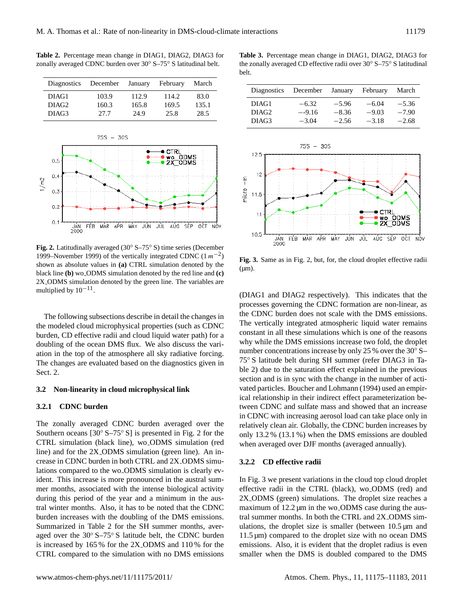<span id="page-4-1"></span>**Table 2.** Percentage mean change in DIAG1, DIAG2, DIAG3 for zonally averaged CDNC burden over 30◦ S–75◦ S latitudinal belt.

| December<br><b>Diagnostics</b><br>January |       |       | February<br>March |       |                   |          |         |          |         |
|-------------------------------------------|-------|-------|-------------------|-------|-------------------|----------|---------|----------|---------|
| DIAG1                                     | 103.9 | 12.9  | 14.2              | 83.0  | Diagnostics       | December | January | February | March   |
| DIAG <sub>2</sub>                         | 160.3 | 165.8 | 169.5             | 135.1 | DIAG1             | $-6.32$  | $-5.96$ | $-6.04$  | $-5.36$ |
| DIAG3                                     | 27.7  | 24.9  | 25.8              | 28.5  | DIAG <sub>2</sub> | $-9.16$  | $-8.36$ | $-9.03$  | $-7.90$ |
|                                           |       |       |                   |       | DIAG3             | $-3.04$  | $-256$  | $-3.18$  | $-268$  |



<span id="page-4-0"></span>shown as absolute values in **(a)** CTRL simulation denoted by the black line (b) wo ODMS simulation denoted by the red line and (c) 2X ODMS simulation denoted by the green line. The variables are multiplied by  $10^{-11}$ . **Fig. 2.** Latitudinally averaged (30◦ S–75◦ S) time series (December 1999–November 1999) of the vertically integrated CDNC  $(1 m^{-2})$ 

doubling of the ocean DMS flux. We also discuss the vari-**Sect** 2 The following subsections describe in detail the changes in the modeled cloud microphysical properties (such as CDNC burden, CD effective radii and cloud liquid water path) for a ation in the top of the atmosphere all sky radiative forcing. The changes are evaluated based on the diagnostics given in Sect. 2.

## **3.2** Non-linearity in cloud microphysical link

## **3.2.1 CDNC burden**

Southern oceans [30° S–75° S] is presented in Fig. 2 for the CTRL simulation (black line), wo ODMS simulation (red The zonally averaged CDNC burden averaged over the line) and for the 2X ODMS simulation (green line). An increase in CDNC burden in both CTRL and 2X ODMS simulations compared to the wo ODMS simulation is clearly evident. This increase is more pronounced in the austral summer months, associated with the intense biological activity during this period of the year and a minimum in the austral winter months. Also, it has to be noted that the CDNC burden increases with the doubling of the DMS emissions. Summarized in Table [2](#page-4-1) for the SH summer months, averaged over the 30◦ S–75◦ S latitude belt, the CDNC burden is increased by 165 % for the 2X ODMS and 110 % for the CTRL compared to the simulation with no DMS emissions

<span id="page-4-3"></span>**Table 3.** Percentage mean change in DIAG1, DIAG2, DIAG3 for the zonally averaged CD effective radii over 30° S–75° S latitudinal belt. **DIAG3** 27.7 24.9 25.8 28.5

|                   | Diagnostics December January February |         |         | March   |
|-------------------|---------------------------------------|---------|---------|---------|
| DIAG1             | $-6.32$                               | $-5.96$ | $-6.04$ | $-5.36$ |
| DIAG <sub>2</sub> | $-9.16$                               | $-8.36$ | $-9.03$ | $-7.90$ |
| DIAG <sub>3</sub> | $-3.04$                               | $-2.56$ | $-3.18$ | $-2.68$ |



<span id="page-4-2"></span>**Fig. 3.** Same as in Fig. [2,](#page-4-0) but, for, the cloud droplet effective radii  $(\mu m)$ .

(DIAG1 and DIAG2 respectively). This indicates that the processes governing the CDNC formation are non-linear, as the CDNC burden does not scale with the DMS emissions. The vertically integrated atmospheric liquid water remains constant in all these simulations which is one of the reasons why while the DMS emissions increase two fold, the droplet number concentrations increase by only 25 % over the 30<sup>°</sup> S− 75◦ S latitude belt during SH summer (refer DIAG3 in Table [2\)](#page-4-1) due to the saturation effect explained in the previous section and is in sync with the change in the number of activated particles. [Boucher and Lohmann](#page-6-8) [\(1994\)](#page-6-8) used an empirical relationship in their indirect effect parameterization between CDNC and sulfate mass and showed that an increase in CDNC with increasing aerosol load can take place only in relatively clean air. Globally, the CDNC burden increases by only 13.2 % (13.1 %) when the DMS emissions are doubled when averaged over DJF months (averaged annually).

#### **3.2.2 CD effective radii**

In Fig. [3](#page-4-2) we present variations in the cloud top cloud droplet effective radii in the CTRL (black), wo ODMS (red) and 2X ODMS (green) simulations. The droplet size reaches a maximum of 12.2 µm in the wo\_ODMS case during the austral summer months. In both the CTRL and 2X ODMS simulations, the droplet size is smaller (between  $10.5 \,\mu m$  and  $11.5 \,\mathrm{\mu m}$ ) compared to the droplet size with no ocean DMS emissions. Also, it is evident that the droplet radius is even smaller when the DMS is doubled compared to the DMS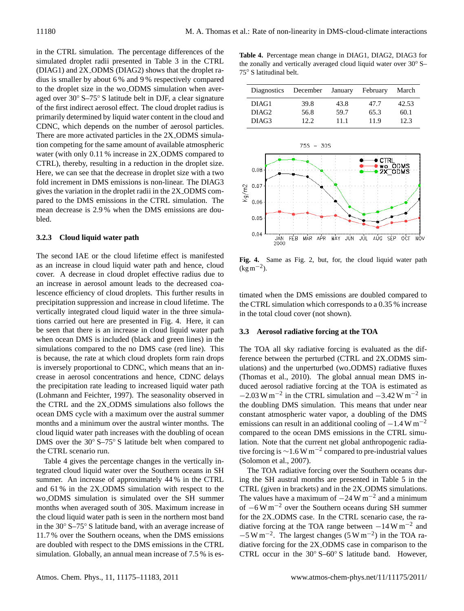in the CTRL simulation. The percentage differences of the simulated droplet radii presented in Table [3](#page-4-3) in the CTRL (DIAG1) and 2X ODMS (DIAG2) shows that the droplet radius is smaller by about 6 % and 9 % respectively compared to the droplet size in the wo ODMS simulation when averaged over 30◦ S–75◦ S latitude belt in DJF, a clear signature of the first indirect aerosol effect. The cloud droplet radius is primarily determined by liquid water content in the cloud and CDNC, which depends on the number of aerosol particles. There are more activated particles in the 2X ODMS simulation competing for the same amount of available atmospheric water (with only 0.11 % increase in 2X\_ODMS compared to CTRL), thereby, resulting in a reduction in the droplet size. Here, we can see that the decrease in droplet size with a two fold increment in DMS emissions is non-linear. The DIAG3 gives the variation in the droplet radii in the 2X ODMS compared to the DMS emissions in the CTRL simulation. The mean decrease is 2.9 % when the DMS emissions are doubled.

## **3.2.3 Cloud liquid water path**

The second IAE or the cloud lifetime effect is manifested as an increase in cloud liquid water path and hence, cloud cover. A decrease in cloud droplet effective radius due to an increase in aerosol amount leads to the decreased coalescence efficiency of cloud droplets. This further results in precipitation suppression and increase in cloud lifetime. The vertically integrated cloud liquid water in the three simulations carried out here are presented in Fig. [4.](#page-5-0) Here, it can be seen that there is an increase in cloud liquid water path when ocean DMS is included (black and green lines) in the simulations compared to the no DMS case (red line). This is because, the rate at which cloud droplets form rain drops is inversely proportional to CDNC, which means that an increase in aerosol concentrations and hence, CDNC delays the precipitation rate leading to increased liquid water path [\(Lohmann and Feichter,](#page-7-25) [1997\)](#page-7-25). The seasonality observed in the CTRL and the 2X ODMS simulations also follows the ocean DMS cycle with a maximum over the austral summer months and a minimum over the austral winter months. The cloud liquid water path increases with the doubling of ocean DMS over the 30◦ S–75◦ S latitude belt when compared to the CTRL scenario run.

Table [4](#page-5-1) gives the percentage changes in the vertically integrated cloud liquid water over the Southern oceans in SH summer. An increase of approximately 44 % in the CTRL and 61 % in the 2X ODMS simulation with respect to the wo ODMS simulation is simulated over the SH summer months when averaged south of 30S. Maximum increase in the cloud liquid water path is seen in the northern most band in the 30◦ S–75◦ S latitude band, with an average increase of 11.7 % over the Southern oceans, when the DMS emissions are doubled with respect to the DMS emissions in the CTRL simulation. Globally, an annual mean increase of 7.5 % is es-

<span id="page-5-1"></span>Table 4. Percentage mean change in DIAG1, DIAG2, DIAG3 for the zonally and vertically averaged cloud liquid water over 30<sup>°</sup> S–<br>**75° S** letitudinal halt 75◦ S latitudinal belt.

| Diagnostics December January |      |      | February | March |
|------------------------------|------|------|----------|-------|
| DIAG1                        | 39.8 | 43.8 | 47.7     | 42.53 |
| DIAG <sub>2</sub>            | 56.8 | 59.7 | 65.3     | 60.1  |
| DIAG3                        |      | 111  | 11.9     | 12.3  |



<span id="page-5-0"></span>**Fig. 4.** Same as Fig. [2,](#page-4-0) but, for, the cloud liquid water path  $(\text{kg m}^{-2})$ .

**Diagnostics December January February March** timated when the DMS emissions are doubled compared to the CTRL simulation which corresponds to a 0.35 % increase in the total cloud cover (not shown).

## **3.3 Aerosol radiative forcing at the TOA**

The TOA all sky radiative forcing is evaluated as the difulations) and the unperturbed (wo<sub>-</sub>ODMS) radiative fluxes duced aerosol radiative forcing at the TOA is estimated as the doubling DMS simulation. This means that under near constant atmospheric water vapor, a doubling of the DMS- $\frac{20}{3}$ emissions can result in an additional cooling of  $-1.4$  W m<sup>-2</sup> ference between the perturbed (CTRL and 2X ODMS sim-[\(Thomas et al.,](#page-7-10) [2010\)](#page-7-10). The global annual mean DMS in- $-2.03$  W m<sup>-2</sup> in the CTRL simulation and  $-3.42$  W m<sup>-2</sup> in compared to the ocean DMS emissions in the CTRL simulation. Note that the current net global anthropogenic radiative forcing is  $\sim$ 1.6 W m<sup>-2</sup> compared to pre-industrial values [\(Solomon et al.,](#page-7-1) [2007\)](#page-7-1).

The TOA radiative forcing over the Southern oceans during the SH austral months are presented in Table [5](#page-6-9) in the CTRL (given in brackets) and in the 2X ODMS simulations. The values have a maximum of  $-24$  W m<sup>-2</sup> and a minimum of −6 W m−<sup>2</sup> over the Southern oceans during SH summer for the 2X ODMS case. In the CTRL scenario case, the radiative forcing at the TOA range between  $-14$  W m<sup>-2</sup> and  $-5 \text{ W m}^{-2}$ . The largest changes (5 W m<sup>-2</sup>) in the TOA radiative forcing for the 2X ODMS case in comparison to the CTRL occur in the 30◦ S–60◦ S latitude band. However,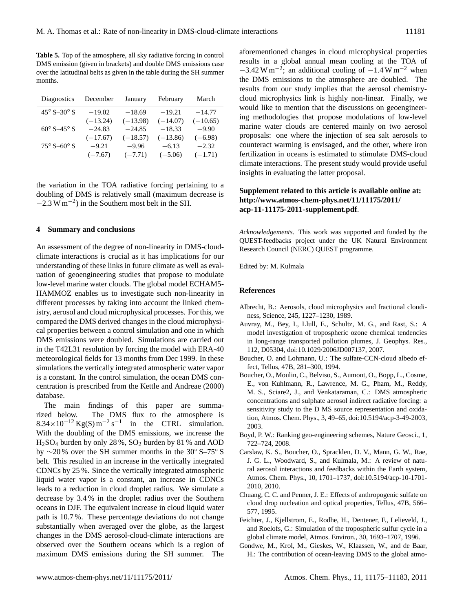<span id="page-6-9"></span>**Table 5.** Top of the atmosphere, all sky radiative forcing in control DMS emission (given in brackets) and double DMS emissions case over the latitudinal belts as given in the table during the SH summer months.

| Diagnostics                    | December   | January    | February   | March      |
|--------------------------------|------------|------------|------------|------------|
| $45^{\circ}$ S-30 $^{\circ}$ S | $-19.02$   | $-18.69$   | $-19.21$   | $-14.77$   |
|                                | $(-13.24)$ | $(-13.98)$ | $(-14.07)$ | $(-10.65)$ |
| $60^{\circ}$ S-45 $^{\circ}$ S | $-24.83$   | $-24.85$   | $-18.33$   | $-9.90$    |
|                                | $(-17.67)$ | $(-18.57)$ | $(-13.86)$ | $(-6.98)$  |
| $75^{\circ}$ S-60 $^{\circ}$ S | $-9.21$    | $-9.96$    | $-6.13$    | $-2.32$    |
|                                | $(-7.67)$  | $(-7.71)$  | $(-5.06)$  | $(-1.71)$  |

the variation in the TOA radiative forcing pertaining to a doubling of DMS is relatively small (maximum decrease is  $-2.3 \text{ W m}^{-2}$ ) in the Southern most belt in the SH.

#### **4 Summary and conclusions**

An assessment of the degree of non-linearity in DMS-cloudclimate interactions is crucial as it has implications for our understanding of these links in future climate as well as evaluation of geoengineering studies that propose to modulate low-level marine water clouds. The global model ECHAM5- HAMMOZ enables us to investigate such non-linearity in different processes by taking into account the linked chemistry, aerosol and cloud microphysical processes. For this, we compared the DMS derived changes in the cloud microphysical properties between a control simulation and one in which DMS emissions were doubled. Simulations are carried out in the T42L31 resolution by forcing the model with ERA-40 meteorological fields for 13 months from Dec 1999. In these simulations the vertically integrated atmospheric water vapor is a constant. In the control simulation, the ocean DMS concentration is prescribed from the [Kettle and Andreae](#page-7-21) [\(2000\)](#page-7-21) database.

The main findings of this paper are summarized below. The DMS flux to the atmosphere is  $8.34 \times 10^{-12}$  Kg(S) m<sup>-2</sup> s<sup>-1</sup> in the CTRL simulation. With the doubling of the DMS emissions, we increase the H2SO<sup>4</sup> burden by only 28 %, SO<sup>2</sup> burden by 81 % and AOD by  $\sim$ 20 % over the SH summer months in the 30° S–75° S belt. This resulted in an increase in the vertically integrated CDNCs by 25 %. Since the vertically integrated atmospheric liquid water vapor is a constant, an increase in CDNCs leads to a reduction in cloud droplet radius. We simulate a decrease by 3.4 % in the droplet radius over the Southern oceans in DJF. The equivalent increase in cloud liquid water path is 10.7 %. These percentage deviations do not change substantially when averaged over the globe, as the largest changes in the DMS aerosol-cloud-climate interactions are observed over the Southern oceans which is a region of maximum DMS emissions during the SH summer. The

aforementioned changes in cloud microphysical properties results in a global annual mean cooling at the TOA of  $-3.42 \text{ W m}^{-2}$ ; an additional cooling of  $-1.4 \text{ W m}^{-2}$  when the DMS emissions to the atmosphere are doubled. The results from our study implies that the aerosol chemistrycloud microphysics link is highly non-linear. Finally, we would like to mention that the discussions on geoengineering methodologies that propose modulations of low-level marine water clouds are centered mainly on two aerosol proposals: one where the injection of sea salt aerosols to counteract warming is envisaged, and the other, where iron fertilization in oceans is estimated to stimulate DMS-cloud climate interactions. The present study would provide useful insights in evaluating the latter proposal.

## **Supplement related to this article is available online at: [http://www.atmos-chem-phys.net/11/11175/2011/](http://www.atmos-chem-phys.net/11/11175/2011/acp-11-11175-2011-supplement.pdf) [acp-11-11175-2011-supplement.pdf](http://www.atmos-chem-phys.net/11/11175/2011/acp-11-11175-2011-supplement.pdf)**.

*Acknowledgements.* This work was supported and funded by the QUEST-feedbacks project under the UK Natural Environment Research Council (NERC) QUEST programme.

Edited by: M. Kulmala

## **References**

- <span id="page-6-1"></span>Albrecht, B.: Aerosols, cloud microphysics and fractional cloudiness, Science, 245, 1227–1230, 1989.
- <span id="page-6-3"></span>Auvray, M., Bey, I., Llull, E., Schultz, M. G., and Rast, S.: A model investigation of tropospheric ozone chemical tendencies in long-range transported pollution plumes, J. Geophys. Res., 112, D05304, doi:10.1029/2006JD007137, 2007.
- <span id="page-6-8"></span>Boucher, O. and Lohmann, U.: The sulfate-CCN-cloud albedo effect, Tellus, 47B, 281–300, 1994.
- <span id="page-6-5"></span>Boucher, O., Moulin, C., Belviso, S., Aumont, O., Bopp, L., Cosme, E., von Kuhlmann, R., Lawrence, M. G., Pham, M., Reddy, M. S., Sciare2, J., and Venkataraman, C.: DMS atmospheric concentrations and sulphate aerosol indirect radiative forcing: a sensitivity study to the D MS source representation and oxidation, Atmos. Chem. Phys., 3, 49–65, [doi:10.5194/acp-3-49-2003,](http://dx.doi.org/10.5194/acp-3-49-2003) 2003.
- <span id="page-6-2"></span>Boyd, P. W.: Ranking geo-engineering schemes, Nature Geosci., 1, 722–724, 2008.
- <span id="page-6-0"></span>Carslaw, K. S., Boucher, O., Spracklen, D. V., Mann, G. W., Rae, J. G. L., Woodward, S., and Kulmala, M.: A review of natural aerosol interactions and feedbacks within the Earth system, Atmos. Chem. Phys., 10, 1701–1737, [doi:10.5194/acp-10-1701-](http://dx.doi.org/10.5194/acp-10-1701-2010) [2010,](http://dx.doi.org/10.5194/acp-10-1701-2010) 2010.
- <span id="page-6-4"></span>Chuang, C. C. and Penner, J. E.: Effects of anthropogenic sulfate on cloud drop nucleation and optical properties, Tellus, 47B, 566– 577, 1995.
- <span id="page-6-7"></span>Feichter, J., Kjellstrom, E., Rodhe, H., Dentener, F., Lelieveld, J., and Roelofs, G.: Simulation of the tropospheric sulfur cycle in a global climate model, Atmos. Environ., 30, 1693–1707, 1996.
- <span id="page-6-6"></span>Gondwe, M., Krol, M., Gieskes, W., Klaassen, W., and de Baar, H.: The contribution of ocean-leaving DMS to the global atmo-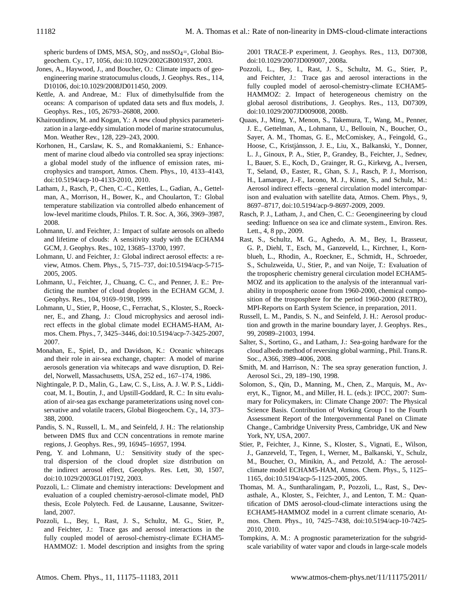spheric burdens of DMS, MSA,  $SO_2$ , and nss $SO_4$ =, Global Biogeochem. Cy., 17, 1056, doi:10.1029/2002GB001937, 2003.

- <span id="page-7-3"></span>Jones, A., Haywood, J., and Boucher, O.: Climate impacts of geoengineering marine stratocumulus clouds, J. Geophys. Res., 114, D10106, doi:10.1029/2008JD011450, 2009.
- <span id="page-7-21"></span>Kettle, A. and Andreae, M.: Flux of dimethylsulfide from the oceans: A comparison of updated data sets and flux models, J. Geophys. Res., 105, 26793–26808, 2000.
- <span id="page-7-16"></span>Khairoutdinov, M. and Kogan, Y.: A new cloud physics parameterization in a large-eddy simulation model of marine stratocumulus, Mon. Weather Rev., 128, 229–243, 2000.
- <span id="page-7-4"></span>Korhonen, H., Carslaw, K. S., and Romakkaniemi, S.: Enhancement of marine cloud albedo via controlled sea spray injections: a global model study of the influence of emission rates, microphysics and transport, Atmos. Chem. Phys., 10, 4133–4143, [doi:10.5194/acp-10-4133-2010,](http://dx.doi.org/10.5194/acp-10-4133-2010) 2010.
- <span id="page-7-9"></span>Latham, J., Rasch, P., Chen, C.-C., Kettles, L., Gadian, A., Gettelman, A., Morrison, H., Bower, K., and Choularton, T.: Global temperature stabilization via controlled albedo enhancement of low-level maritime clouds, Philos. T. R. Soc. A, 366, 3969–3987, 2008.
- <span id="page-7-25"></span>Lohmann, U. and Feichter, J.: Impact of sulfate aerosols on albedo and lifetime of clouds: A sensitivity study with the ECHAM4 GCM, J. Geophys. Res., 102, 13685–13700, 1997.
- <span id="page-7-0"></span>Lohmann, U. and Feichter, J.: Global indirect aerosol effects: a review, Atmos. Chem. Phys., 5, 715–737, [doi:10.5194/acp-5-715-](http://dx.doi.org/10.5194/acp-5-715-2005) [2005,](http://dx.doi.org/10.5194/acp-5-715-2005) 2005.
- <span id="page-7-19"></span>Lohmann, U., Feichter, J., Chuang, C. C., and Penner, J. E.: Predicting the number of cloud droplets in the ECHAM GCM, J. Geophys. Res., 104, 9169–9198, 1999.
- <span id="page-7-15"></span>Lohmann, U., Stier, P., Hoose, C., Ferrachat, S., Kloster, S., Roeckner, E., and Zhang, J.: Cloud microphysics and aerosol indirect effects in the global climate model ECHAM5-HAM, Atmos. Chem. Phys., 7, 3425–3446, [doi:10.5194/acp-7-3425-2007,](http://dx.doi.org/10.5194/acp-7-3425-2007) 2007.
- <span id="page-7-22"></span>Monahan, E., Spiel, D., and Davidson, K.: Oceanic whitecaps and their role in air-sea exchange, chapter: A model of marine aerosols generation via whitecaps and wave disruption, D. Reidel, Norwell, Massachusetts, USA, 252 ed., 167–174, 1986.
- <span id="page-7-20"></span>Nightingale, P. D., Malin, G., Law, C. S., Liss, A. J. W. P. S., Liddicoat, M. I., Boutin, J., and Upstill-Goddard, R. C.: In situ evaluation of air-sea gas exchange parameterizations using novel conservative and volatile tracers, Global Biogeochem. Cy., 14, 373– 388, 2000.
- <span id="page-7-5"></span>Pandis, S. N., Russell, L. M., and Seinfeld, J. H.: The relationship between DMS flux and CCN concentrations in remote marine regions, J. Geophys. Res., 99, 16945–16957, 1994.
- <span id="page-7-18"></span>Peng, Y. and Lohmann, U.: Sensitivity study of the spectral dispersion of the cloud droplet size distribution on the indirect aerosol effect, Geophys. Res. Lett, 30, 1507, [doi:10.1029/2003GL017192,](http://dx.doi.org/10.1029/2003GL017192) 2003.
- <span id="page-7-13"></span>Pozzoli, L.: Climate and chemistry interactions: Development and evaluation of a coupled chemistry-aerosol-climate model, PhD thesis, Ecole Polytech. Fed. de Lausanne, Lausanne, Switzerland, 2007.
- <span id="page-7-24"></span>Pozzoli, L., Bey, I., Rast, J. S., Schultz, M. G., Stier, P., and Feichter, J.: Trace gas and aerosol interactions in the fully coupled model of aerosol-chemistry-climate ECHAM5- HAMMOZ: 1. Model description and insights from the spring

2001 TRACE-P experiment, J. Geophys. Res., 113, D07308, doi:10.1029/2007JD009007, 2008a.

- <span id="page-7-14"></span>Pozzoli, L., Bey, I., Rast, J. S., Schultz, M. G., Stier, P., and Feichter, J.: Trace gas and aerosol interactions in the fully coupled model of aerosol-chemistry-climate ECHAM5- HAMMOZ: 2. Impact of heterogeneous chemistry on the global aerosol distributions, J. Geophys. Res., 113, D07309, doi:10.1029/2007JD009008, 2008b.
- <span id="page-7-2"></span>Quaas, J., Ming, Y., Menon, S., Takemura, T., Wang, M., Penner, J. E., Gettelman, A., Lohmann, U., Bellouin, N., Boucher, O., Sayer, A. M., Thomas, G. E., McComiskey, A., Feingold, G., Hoose, C., Kristjánsson, J. E., Liu, X., Balkanski, Y., Donner, L. J., Ginoux, P. A., Stier, P., Grandey, B., Feichter, J., Sednev, I., Bauer, S. E., Koch, D., Grainger, R. G., Kirkevg, A., Iversen, T., Seland, Ø., Easter, R., Ghan, S. J., Rasch, P. J., Morrison, H., Lamarque, J.-F., Iacono, M. J., Kinne, S., and Schulz, M.: Aerosol indirect effects –general circulation model intercomparison and evaluation with satellite data, Atmos. Chem. Phys., 9, 8697–8717, [doi:10.5194/acp-9-8697-2009,](http://dx.doi.org/10.5194/acp-9-8697-2009) 2009.
- <span id="page-7-7"></span>Rasch, P. J., Latham, J., and Chen, C. C.: Geoengineering by cloud seeding: Influence on sea ice and climate system., Environ. Res. Lett., 4, 8 pp., 2009.
- <span id="page-7-12"></span>Rast, S., Schultz, M. G., Aghedo, A. M., Bey, I., Brasseur, G. P., Diehl, T., Esch, M., Ganzeveld, L., Kirchner, I., Kornblueh, L., Rhodin, A., Roeckner, E., Schmidt, H., Schroeder, S., Schulzweida, U., Stier, P., and van Noije, T.: Evaluation of the tropospheric chemistry general circulation model ECHAM5- MOZ and its application to the analysis of the interannual variability in tropospheric ozone from 1960-2000, chemical composition of the trosposphere for the period 1960-2000 (RETRO), MPI-Reports on Earth System Science, in preparation, 2011.
- <span id="page-7-6"></span>Russell, L. M., Pandis, S. N., and Seinfeld, J. H.: Aerosol production and growth in the marine boundary layer, J. Geophys. Res., 99, 20989–21003, 1994.
- <span id="page-7-8"></span>Salter, S., Sortino, G., and Latham, J.: Sea-going hardware for the cloud albedo method of reversing global warming., Phil. Trans.R. Soc., A366, 3989–4006, 2008.
- <span id="page-7-23"></span>Smith, M. and Harrison, N.: The sea spray generation function, J. Aerosol Sci., 29, 189–190, 1998.
- <span id="page-7-1"></span>Solomon, S., Qin, D., Manning, M., Chen, Z., Marquis, M., Averyt, K., Tignor, M., and Miller, H. L. (eds.): IPCC, 2007: Summary for Policymakers, in: Climate Change 2007: The Physical Science Basis. Contribution of Working Group I to the Fourth Assessment Report of the Intergovernmental Panel on Climate Change., Cambridge University Press, Cambridge, UK and New York, NY, USA, 2007.
- <span id="page-7-11"></span>Stier, P., Feichter, J., Kinne, S., Kloster, S., Vignati, E., Wilson, J., Ganzeveld, T., Tegen, I., Werner, M., Balkanski, Y., Schulz, M., Boucher, O., Minikin, A., and Petzold, A.: The aerosolclimate model ECHAM5-HAM, Atmos. Chem. Phys., 5, 1125– 1165, [doi:10.5194/acp-5-1125-2005,](http://dx.doi.org/10.5194/acp-5-1125-2005) 2005.
- <span id="page-7-10"></span>Thomas, M. A., Suntharalingam, P., Pozzoli, L., Rast, S., Devasthale, A., Kloster, S., Feichter, J., and Lenton, T. M.: Quantification of DMS aerosol-cloud-climate interactions using the ECHAM5-HAMMOZ model in a current climate scenario, Atmos. Chem. Phys., 10, 7425–7438, [doi:10.5194/acp-10-7425-](http://dx.doi.org/10.5194/acp-10-7425-2010) [2010,](http://dx.doi.org/10.5194/acp-10-7425-2010) 2010.
- <span id="page-7-17"></span>Tompkins, A. M.: A prognostic parameterization for the subgridscale variability of water vapor and clouds in large-scale models